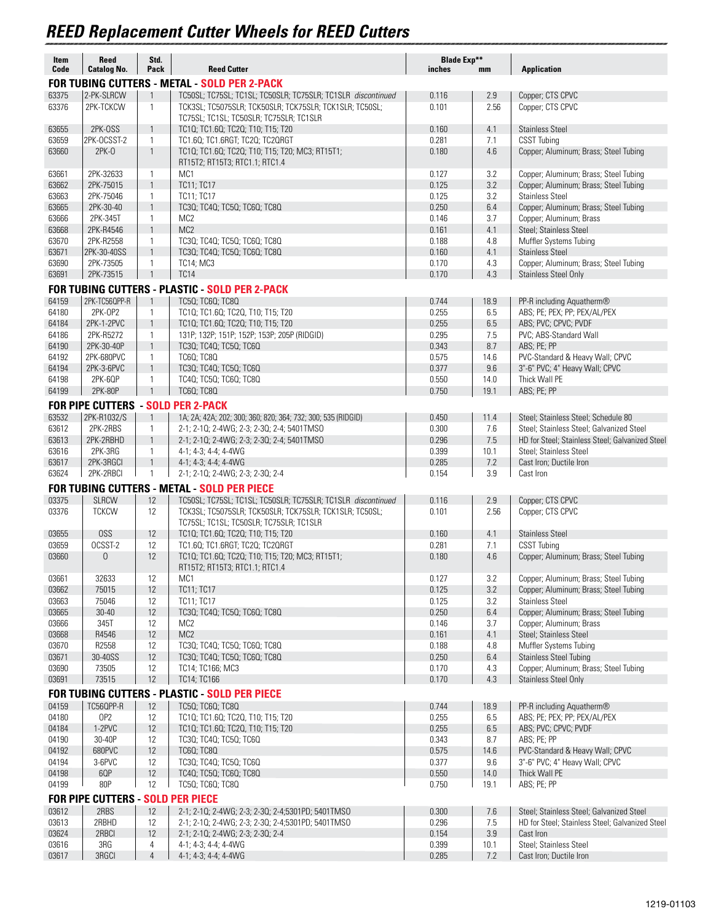## *REED Replacement Cutter Wheels for REED Cutters*

| Item           | <b>Reed</b>                              | Std.                         |                                                                                                                         | <b>Blade Exp**</b> |             |                                                                                             |
|----------------|------------------------------------------|------------------------------|-------------------------------------------------------------------------------------------------------------------------|--------------------|-------------|---------------------------------------------------------------------------------------------|
| Code           | <b>Catalog No.</b>                       | Pack                         | <b>Reed Cutter</b><br><b>FOR TUBING CUTTERS - METAL - SOLD PER 2-PACK</b>                                               | inches             | mm          | <b>Application</b>                                                                          |
| 63375          | 2-PK-SLRCW                               | $\mathbf{1}$                 | TC50SL; TC75SL; TC1SL; TC50SLR; TC75SLR; TC1SLR discontinued                                                            | 0.116              | 2.9         | Copper; CTS CPVC                                                                            |
| 63376          | 2PK-TCKCW                                | $\mathbf{1}$                 | TCK3SL; TC5075SLR; TCK50SLR; TCK75SLR; TCK1SLR; TC50SL;                                                                 | 0.101              | 2.56        | Copper; CTS CPVC                                                                            |
|                |                                          |                              | TC75SL; TC1SL; TC50SLR; TC75SLR; TC1SLR                                                                                 |                    |             |                                                                                             |
| 63655          | 2PK-OSS                                  | $\mathbf{1}$                 | TC10; TC1.60; TC20; T10; T15; T20                                                                                       | 0.160              | 4.1         | <b>Stainless Steel</b>                                                                      |
| 63659          | 2PK-OCSST-2                              | 1                            | TC1.60; TC1.6RGT; TC20; TC20RGT                                                                                         | 0.281              | 7.1         | <b>CSST Tubing</b>                                                                          |
| 63660          | $2PK-0$                                  | $\mathbf{1}$                 | TC10; TC1.60; TC20; T10; T15; T20; MC3; RT15T1;<br>RT15T2; RT15T3; RTC1.1; RTC1.4                                       | 0.180              | 4.6         | Copper; Aluminum; Brass; Steel Tubing                                                       |
| 63661          | 2PK-32633                                | $\mathbf{1}$                 | M <sub>C</sub> 1                                                                                                        | 0.127              | 3.2         | Copper; Aluminum; Brass; Steel Tubing                                                       |
| 63662          | 2PK-75015                                | $\mathbf{1}$                 | <b>TC11; TC17</b>                                                                                                       | 0.125              | 3.2         | Copper; Aluminum; Brass; Steel Tubing                                                       |
| 63663          | 2PK-75046                                | 1                            | <b>TC11; TC17</b>                                                                                                       | 0.125              | 3.2         | <b>Stainless Steel</b>                                                                      |
| 63665<br>63666 | 2PK-30-40<br>2PK-345T                    | $\mathbf{1}$<br>1            | TC30; TC40; TC50; TC60; TC80<br>MC <sub>2</sub>                                                                         | 0.250<br>0.146     | 6.4<br>3.7  | Copper; Aluminum; Brass; Steel Tubing<br>Copper; Aluminum; Brass                            |
| 63668          | 2PK-R4546                                | $\mathbf{1}$                 | MC <sub>2</sub>                                                                                                         | 0.161              | 4.1         | Steel; Stainless Steel                                                                      |
| 63670          | 2PK-R2558                                | $\mathbf{1}$                 | TC30; TC40; TC50; TC60; TC80                                                                                            | 0.188              | 4.8         | Muffler Systems Tubing                                                                      |
| 63671          | 2PK-30-40SS                              | $\mathbf{1}$                 | TC30; TC40; TC50; TC60; TC80                                                                                            | 0.160              | 4.1         | <b>Stainless Steel</b>                                                                      |
| 63690          | 2PK-73505                                | $\mathbf{1}$                 | <b>TC14; MC3</b>                                                                                                        | 0.170              | 4.3         | Copper; Aluminum; Brass; Steel Tubing                                                       |
| 63691          | 2PK-73515                                | $\mathbf{1}$                 | <b>TC14</b>                                                                                                             | 0.170              | 4.3         | <b>Stainless Steel Only</b>                                                                 |
|                |                                          |                              | <b>FOR TUBING CUTTERS - PLASTIC - SOLD PER 2-PACK</b>                                                                   |                    |             |                                                                                             |
| 64159          | 2PK-TC56QPP-R                            | $\mathbf{1}$                 | TC50; TC60; TC80                                                                                                        | 0.744              | 18.9        | PP-R including Aquatherm®                                                                   |
| 64180<br>64184 | 2PK-0P2<br>2PK-1-2PVC                    | $\mathbf{1}$<br>$\mathbf{1}$ | TC10; TC1.60; TC20, T10; T15; T20<br>TC10; TC1.60; TC20; T10; T15; T20                                                  | 0.255<br>0.255     | 6.5<br>6.5  | ABS; PE; PEX; PP; PEX/AL/PEX<br>ABS; PVC; CPVC; PVDF                                        |
| 64186          | 2PK-R5272                                | 1                            | 131P; 132P; 151P; 152P; 153P; 205P (RIDGID)                                                                             | 0.295              | 7.5         | PVC; ABS-Standard Wall                                                                      |
| 64190          | 2PK-30-40P                               | $\mathbf{1}$                 | TC30; TC40; TC50; TC60                                                                                                  | 0.343              | 8.7         | ABS; PE; PP                                                                                 |
| 64192          | 2PK-680PVC                               | $\mathbf{1}$                 | <b>TC60; TC80</b>                                                                                                       | 0.575              | 14.6        | PVC-Standard & Heavy Wall; CPVC                                                             |
| 64194          | 2PK-3-6PVC                               | $\mathbf{1}$                 | TC30; TC40; TC50; TC60                                                                                                  | 0.377              | 9.6         | 3"-6" PVC; 4" Heavy Wall; CPVC                                                              |
| 64198          | 2PK-6QP                                  | $\mathbf{1}$                 | TC40; TC50; TC60; TC80                                                                                                  | 0.550              | 14.0        | Thick Wall PE                                                                               |
| 64199          | 2PK-80P                                  | $\mathbf{1}$                 | <b>TC60; TC80</b>                                                                                                       | 0.750              | 19.1        | ABS; PE; PP                                                                                 |
|                |                                          |                              | <b>FOR PIPE CUTTERS - SOLD PER 2-PACK</b>                                                                               |                    |             |                                                                                             |
| 63532          | 2PK-R1032/S                              | $\mathbf{1}$                 | 1A; 2A; 42A; 202; 300; 360; 820; 364; 732; 300; 535 (RIDGID)                                                            | 0.450              | 11.4        | Steel; Stainless Steel; Schedule 80                                                         |
| 63612<br>63613 | 2PK-2RBS<br>2PK-2RBHD                    | $\mathbf{1}$<br>$\mathbf{1}$ | 2-1; 2-10; 2-4WG; 2-3; 2-30; 2-4; 5401TMSO<br>2-1; 2-10; 2-4WG; 2-3; 2-30; 2-4; 5401TMSO                                | 0.300<br>0.296     | 7.6<br>7.5  | Steel; Stainless Steel; Galvanized Steel<br>HD for Steel; Stainless Steel; Galvanized Steel |
| 63616          | 2PK-3RG                                  | $\mathbf{1}$                 | 4-1; 4-3; 4-4; 4-4WG                                                                                                    | 0.399              | 10.1        | Steel; Stainless Steel                                                                      |
| 63617          | 2PK-3RGCI                                | $\mathbf{1}$                 | 4-1; 4-3; 4-4; 4-4WG                                                                                                    | 0.285              | 7.2         | Cast Iron; Ductile Iron                                                                     |
| 63624          | 2PK-2RBCI                                | 1                            | 2-1; 2-10; 2-4WG; 2-3; 2-30; 2-4                                                                                        | 0.154              | 3.9         | Cast Iron                                                                                   |
|                |                                          |                              | <b>FOR TUBING CUTTERS - METAL - SOLD PER PIECE</b>                                                                      |                    |             |                                                                                             |
| 03375<br>03376 | <b>SLRCW</b><br><b>TCKCW</b>             | 12<br>12                     | TC50SL; TC75SL; TC1SL; TC50SLR; TC75SLR; TC1SLR discontinued<br>TCK3SL; TC5075SLR; TCK50SLR; TCK75SLR; TCK1SLR; TC50SL; | 0.116<br>0.101     | 2.9<br>2.56 | Copper; CTS CPVC<br>Copper; CTS CPVC                                                        |
|                |                                          |                              | TC75SL; TC1SL; TC50SLR; TC75SLR; TC1SLR                                                                                 |                    |             |                                                                                             |
| 03655          | <b>OSS</b>                               | 12                           | TC10; TC1.60; TC20; T10; T15; T20                                                                                       | 0.160              | 4.1         | <b>Stainless Steel</b>                                                                      |
| 03659<br>03660 | OCSST-2<br>$\overline{0}$                | 12<br>12                     | TC1.60; TC1.6RGT; TC20; TC20RGT<br>TC10; TC1.60; TC20; T10; T15; T20; MC3; RT15T1;                                      | 0.281<br>0.180     | 7.1<br>4.6  | <b>CSST Tubing</b><br>Copper; Aluminum; Brass; Steel Tubing                                 |
|                |                                          |                              | RT15T2; RT15T3; RTC1.1; RTC1.4                                                                                          |                    |             |                                                                                             |
| 03661          | 32633                                    | 12                           | MC1                                                                                                                     | 0.127              | 3.2         | Copper; Aluminum; Brass; Steel Tubing                                                       |
| 03662<br>03663 | 75015<br>75046                           | 12                           | <b>TC11; TC17</b><br><b>TC11; TC17</b>                                                                                  | 0.125              | 3.2<br>3.2  | Copper; Aluminum; Brass; Steel Tubing<br><b>Stainless Steel</b>                             |
| 03665          | $30 - 40$                                | 12<br>12                     | TC30; TC40; TC50; TC60; TC80                                                                                            | 0.125<br>0.250     | 6.4         | Copper; Aluminum; Brass; Steel Tubing                                                       |
| 03666          | 345T                                     | 12                           | MC <sub>2</sub>                                                                                                         | 0.146              | 3.7         | Copper; Aluminum; Brass                                                                     |
| 03668          | R4546                                    | 12                           | MC <sub>2</sub>                                                                                                         | 0.161              | 4.1         | Steel; Stainless Steel                                                                      |
| 03670          | R2558                                    | 12                           | TC30; TC40; TC50; TC60; TC80                                                                                            | 0.188              | 4.8         | Muffler Systems Tubing                                                                      |
| 03671          | 30-40SS                                  | 12                           | TC30; TC40; TC50; TC60; TC80                                                                                            | 0.250              | 6.4         | <b>Stainless Steel Tubing</b>                                                               |
| 03690<br>03691 | 73505<br>73515                           | 12<br>12                     | TC14; TC166; MC3<br>TC14; TC166                                                                                         | 0.170<br>0.170     | 4.3<br>4.3  | Copper; Aluminum; Brass; Steel Tubing<br><b>Stainless Steel Only</b>                        |
|                |                                          |                              | <b>FOR TUBING CUTTERS - PLASTIC - SOLD PER PIECE</b>                                                                    |                    |             |                                                                                             |
| 04159          | TC56QPP-R                                | 12                           | TC50; TC60; TC80                                                                                                        | 0.744              | 18.9        | PP-R including Aquatherm®                                                                   |
| 04180          | OP <sub>2</sub>                          | 12                           | TC10; TC1.60; TC20, T10; T15; T20                                                                                       | 0.255              | 6.5         | ABS; PE; PEX; PP; PEX/AL/PEX                                                                |
| 04184          | 1-2PVC                                   | 12                           | TC10; TC1.60; TC20, T10; T15; T20                                                                                       | 0.255              | 6.5         | ABS; PVC; CPVC; PVDF                                                                        |
| 04190          | 30-40P                                   | 12                           | TC30; TC40; TC50; TC60                                                                                                  | 0.343              | 8.7         | ABS; PE; PP                                                                                 |
| 04192          | 680PVC                                   | 12                           | <b>TC60; TC80</b>                                                                                                       | 0.575              | 14.6        | PVC-Standard & Heavy Wall; CPVC                                                             |
| 04194<br>04198 | 3-6PVC<br>6QP                            | 12<br>12                     | TC30; TC40; TC50; TC60<br>TC40; TC50; TC60; TC80                                                                        | 0.377<br>0.550     | 9.6<br>14.0 | 3"-6" PVC; 4" Heavy Wall; CPVC<br>Thick Wall PE                                             |
| 04199          | 80P                                      | 12                           | TC50; TC60; TC80                                                                                                        | 0.750              | 19.1        | ABS; PE; PP                                                                                 |
|                | <b>FOR PIPE CUTTERS - SOLD PER PIECE</b> |                              |                                                                                                                         |                    |             |                                                                                             |
| 03612          | 2RBS                                     | 12                           | 2-1; 2-10; 2-4WG; 2-3; 2-30; 2-4;5301PD; 5401TMSO                                                                       | 0.300              | 7.6         | Steel; Stainless Steel; Galvanized Steel                                                    |
| 03613          | 2RBHD                                    | 12                           | 2-1; 2-10; 2-4WG; 2-3; 2-30; 2-4;5301PD; 5401TMSO                                                                       | 0.296              | 7.5         | HD for Steel; Stainless Steel; Galvanized Steel                                             |
| 03624          | 2RBCI                                    | 12                           | 2-1; 2-10; 2-4WG; 2-3; 2-30; 2-4                                                                                        | 0.154              | 3.9         | Cast Iron                                                                                   |
| 03616<br>03617 | 3RG<br>3RGCI                             | 4<br>$\overline{4}$          | 4-1; 4-3; 4-4; 4-4WG<br>4-1; 4-3; 4-4; 4-4WG                                                                            | 0.399<br>0.285     | 10.1<br>7.2 | Steel; Stainless Steel<br>Cast Iron; Ductile Iron                                           |
|                |                                          |                              |                                                                                                                         |                    |             |                                                                                             |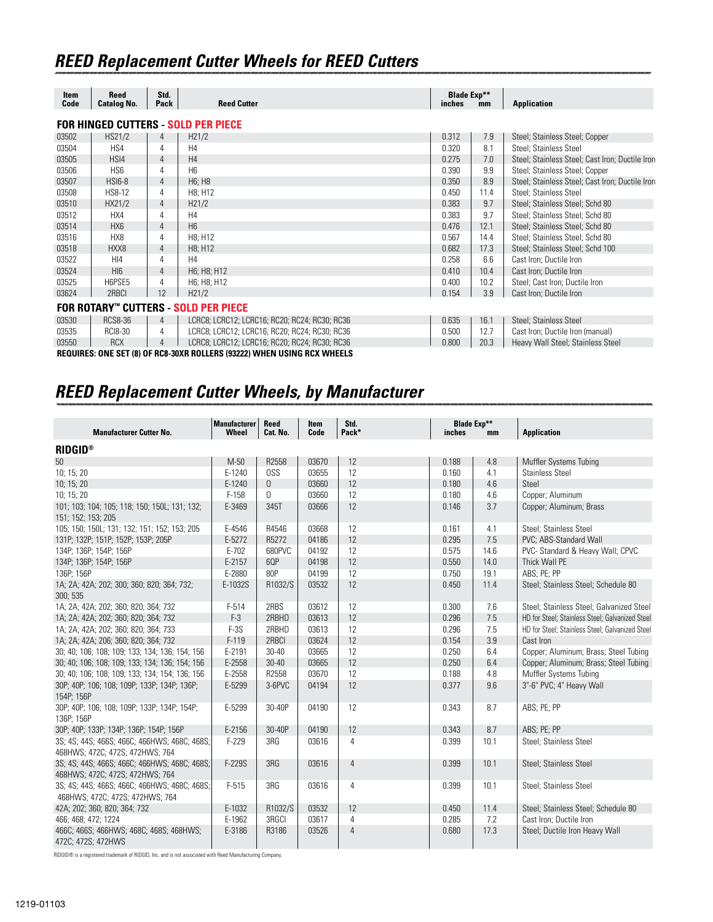| Item<br>Code                               | Reed<br><b>Catalog No.</b> | Std.<br>Pack   | <b>Reed Cutter</b>                                                                                                            | <b>Blade Exp**</b><br>inches | mm   | <b>Application</b>                              |  |  |  |
|--------------------------------------------|----------------------------|----------------|-------------------------------------------------------------------------------------------------------------------------------|------------------------------|------|-------------------------------------------------|--|--|--|
| <b>FOR HINGED CUTTERS - SOLD PER PIECE</b> |                            |                |                                                                                                                               |                              |      |                                                 |  |  |  |
| 03502                                      | HS21/2                     | 4              | H21/2                                                                                                                         | 0.312                        | 7.9  | Steel; Stainless Steel; Copper                  |  |  |  |
| 03504                                      | HS4                        | 4              | H <sub>4</sub>                                                                                                                | 0.320                        | 8.1  | Steel; Stainless Steel                          |  |  |  |
| 03505                                      | HSI4                       | $\overline{4}$ | H4                                                                                                                            | 0.275                        | 7.0  | Steel; Stainless Steel; Cast Iron; Ductile Iron |  |  |  |
| 03506                                      | HS <sub>6</sub>            | 4              | H <sub>6</sub>                                                                                                                | 0.390                        | 9.9  | Steel; Stainless Steel; Copper                  |  |  |  |
| 03507                                      | <b>HSI6-8</b>              | $\overline{4}$ | H <sub>6</sub> ; H <sub>8</sub>                                                                                               | 0.350                        | 8.9  | Steel; Stainless Steel; Cast Iron; Ductile Iron |  |  |  |
| 03508                                      | HS8-12                     | 4              | H8: H12                                                                                                                       | 0.450                        | 11.4 | Steel: Stainless Steel                          |  |  |  |
| 03510                                      | HX21/2                     | 4              | H21/2                                                                                                                         | 0.383                        | 9.7  | Steel; Stainless Steel; Schd 80                 |  |  |  |
| 03512                                      | HX4                        | 4              | H <sub>4</sub>                                                                                                                | 0.383                        | 9.7  | Steel; Stainless Steel; Schd 80                 |  |  |  |
| 03514                                      | HX <sub>6</sub>            | $\overline{4}$ | H <sub>6</sub>                                                                                                                | 0.476                        | 12.1 | Steel; Stainless Steel; Schd 80                 |  |  |  |
| 03516                                      | HX8                        | 4              | H <sub>8</sub> ; H <sub>12</sub>                                                                                              | 0.567                        | 14.4 | Steel; Stainless Steel; Schd 80                 |  |  |  |
| 03518                                      | HXX8                       | 4              | H <sub>8</sub> ; H <sub>12</sub>                                                                                              | 0.682                        | 17.3 | Steel; Stainless Steel; Schd 100                |  |  |  |
| 03522                                      | H <sub>14</sub>            | 4              | H <sub>4</sub>                                                                                                                | 0.258                        | 6.6  | Cast Iron; Ductile Iron                         |  |  |  |
| 03524                                      | HIB                        | $\overline{4}$ | H6; H8; H12                                                                                                                   | 0.410                        | 10.4 | Cast Iron; Ductile Iron                         |  |  |  |
| 03525                                      | H6PSE5                     | 4              | H6; H8; H12                                                                                                                   | 0.400                        | 10.2 | Steel; Cast Iron; Ductile Iron                  |  |  |  |
| 03624                                      | 2RBCI                      | 12             | H21/2                                                                                                                         | 0.154                        | 3.9  | Cast Iron; Ductile Iron                         |  |  |  |
| FOR ROTARY™ CUTTERS - SOLD PER PIECE       |                            |                |                                                                                                                               |                              |      |                                                 |  |  |  |
| 03530                                      | <b>RCS8-36</b>             | $\overline{4}$ | LCRC8; LCRC12; LCRC16; RC20; RC24; RC30; RC36                                                                                 | 0.635                        | 16.1 | Steel; Stainless Steel                          |  |  |  |
| 03535                                      | <b>RCI8-30</b>             | 4              | LCRC8; LCRC12; LCRC16; RC20; RC24; RC30; RC36                                                                                 | 0.500                        | 12.7 | Cast Iron; Ductile Iron (manual)                |  |  |  |
| 03550                                      | <b>RCX</b>                 | $\overline{4}$ | LCRC8; LCRC12; LCRC16; RC20; RC24; RC30; RC36<br>BEAUIREA, ANE AET (A) AE BAA AAVB BALLEBA (ASSAS) JULIEN HAINIA BAV JULIEELA | 0.800                        | 20.3 | Heavy Wall Steel; Stainless Steel               |  |  |  |

**REQUIRES: ONE SET (8) OF RC8-30XR ROLLERS (93222) WHEN USING RCX WHEELS**

### *REED Replacement Cutter Wheels, by Manufacturer*

| <b>Manufacturer Cutter No.</b>                                                  | Manufacturer<br>Wheel | Reed<br>Cat. No. | Item<br>Code | Std.<br>Pack*  | inches | <b>Blade Exp**</b><br>mm | <b>Application</b>                              |
|---------------------------------------------------------------------------------|-----------------------|------------------|--------------|----------------|--------|--------------------------|-------------------------------------------------|
|                                                                                 |                       |                  |              |                |        |                          |                                                 |
| <b>RIDGID®</b>                                                                  |                       |                  |              |                |        |                          |                                                 |
| 50                                                                              | $M-50$                | R2558            | 03670        | 12             | 0.188  | 4.8                      | Muffler Systems Tubing                          |
| 10; 15; 20                                                                      | E-1240                | <b>OSS</b>       | 03655        | 12             | 0.160  | 4.1                      | <b>Stainless Steel</b>                          |
| 10; 15; 20                                                                      | E-1240                | $\overline{0}$   | 03660        | 12             | 0.180  | 4.6                      | Steel                                           |
| 10; 15; 20                                                                      | $F-158$               | 0                | 03660        | 12             | 0.180  | 4.6                      | Copper; Aluminum                                |
| 101; 103; 104; 105; 118; 150; 150L; 131; 132;<br>151; 152; 153; 205             | E-3469                | 345T             | 03666        | 12             | 0.146  | 3.7                      | Copper; Aluminum; Brass                         |
| 105; 150; 150L; 131; 132; 151; 152; 153; 205                                    | E-4546                | R4546            | 03668        | 12             | 0.161  | 4.1                      | Steel; Stainless Steel                          |
| 131P; 132P; 151P; 152P; 153P; 205P                                              | E-5272                | R5272            | 04186        | 12             | 0.295  | 7.5                      | PVC: ABS-Standard Wall                          |
| 134P; 136P; 154P; 156P                                                          | $E-702$               | 680PVC           | 04192        | 12             | 0.575  | 14.6                     | PVC- Standard & Heavy Wall; CPVC                |
| 134P; 136P; 154P; 156P                                                          | E-2157                | 6QP              | 04198        | 12             | 0.550  | 14.0                     | Thick Wall PE                                   |
| 136P; 156P                                                                      | E-2880                | 80P              | 04199        | 12             | 0.750  | 19.1                     | ABS; PE; PP                                     |
| 1A; 2A; 42A; 202; 300; 360; 820; 364; 732;<br>300; 535                          | E-1032S               | R1032/S          | 03532        | 12             | 0.450  | 11.4                     | Steel; Stainless Steel; Schedule 80             |
| 1A; 2A; 42A; 202; 360; 820; 364; 732                                            | F-514                 | 2RBS             | 03612        | 12             | 0.300  | 7.6                      | Steel; Stainless Steel; Galvanized Steel        |
| 1A; 2A; 42A; 202; 360; 820; 364; 732                                            | $F-3$                 | 2RBHD            | 03613        | 12             | 0.296  | 7.5                      | HD for Steel; Stainless Steel; Galvanized Steel |
| 1A; 2A; 42A; 202; 360; 820; 364; 733                                            | $F-3S$                | 2RBHD            | 03613        | 12             | 0.296  | 7.5                      | HD for Steel; Stainless Steel; Galvanized Steel |
| 1A; 2A; 42A; 206; 360; 820; 364; 732                                            | $F-119$               | 2RBCI            | 03624        | 12             | 0.154  | 3.9                      | Cast Iron                                       |
| 30; 40; 106; 108; 109; 133; 134; 136; 154; 156                                  | E-2191                | $30 - 40$        | 03665        | 12             | 0.250  | 6.4                      | Copper; Aluminum; Brass; Steel Tubing           |
| 30; 40; 106; 108; 109; 133; 134; 136; 154; 156                                  | E-2558                | $30 - 40$        | 03665        | 12             | 0.250  | 6.4                      | Copper; Aluminum; Brass; Steel Tubing           |
| 30; 40; 106; 108; 109; 133; 134; 154; 136; 156                                  | E-2558                | R2558            | 03670        | 12             | 0.188  | 4.8                      | Muffler Systems Tubing                          |
| 30P; 40P; 106; 108; 109P; 133P; 134P; 136P;<br>154P; 156P                       | E-5299                | 3-6PVC           | 04194        | 12             | 0.377  | 9.6                      | 3"-6" PVC; 4" Heavy Wall                        |
| 30P; 40P; 106; 108; 109P; 133P; 134P; 154P;<br>136P: 156P                       | E-5299                | 30-40P           | 04190        | 12             | 0.343  | 8.7                      | ABS; PE; PP                                     |
| 30P; 40P; 133P; 134P; 136P; 154P; 156P                                          | E-2156                | 30-40P           | 04190        | 12             | 0.343  | 8.7                      | ABS: PE: PP                                     |
| 3S; 4S; 44S; 466S; 466C; 466HWS; 468C; 468S;<br>468HWS; 472C; 472S; 472HWS; 764 | $F-229$               | 3RG              | 03616        | 4              | 0.399  | 10.1                     | Steel; Stainless Steel                          |
| 3S; 4S; 44S; 466S; 466C; 466HWS; 468C; 468S;<br>468HWS; 472C; 472S; 472HWS; 764 | F-229S                | 3RG              | 03616        | $\overline{4}$ | 0.399  | 10.1                     | Steel; Stainless Steel                          |
| 3S; 4S; 44S; 466S; 466C; 466HWS; 468C; 468S;<br>468HWS; 472C; 472S; 472HWS; 764 | $F-515$               | 3RG              | 03616        | $\overline{4}$ | 0.399  | 10.1                     | Steel; Stainless Steel                          |
| 42A; 202; 360; 820; 364; 732                                                    | E-1032                | R1032/S          | 03532        | 12             | 0.450  | 11.4                     | Steel; Stainless Steel; Schedule 80             |
| 466: 468: 472: 1224                                                             | E-1962                | 3RGCI            | 03617        | 4              | 0.285  | 7.2                      | Cast Iron; Ductile Iron                         |
| 466C; 466S; 466HWS; 468C; 468S; 468HWS;<br>472C; 472S; 472HWS                   | E-3186                | R3186            | 03526        | $\overline{4}$ | 0.680  | 17.3                     | Steel; Ductile Iron Heavy Wall                  |

RIDGID® is a registered trademark of RIDGID, Inc. and is not associated with Reed Manufacturing Company.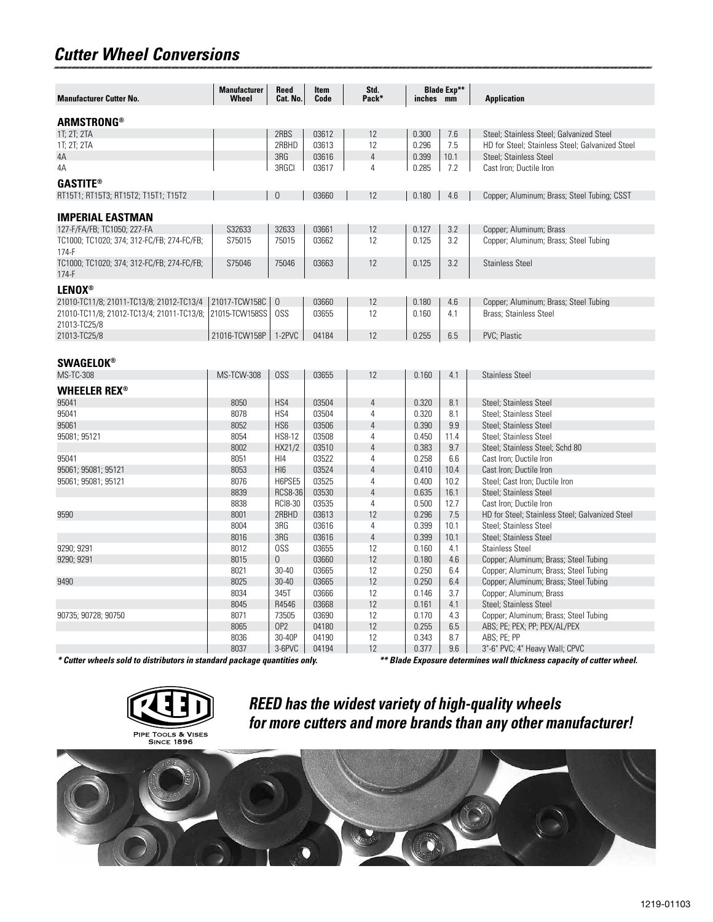#### *Cutter Wheel Conversions*

| <b>Manufacturer Cutter No.</b>                                                                                                                     | <b>Manufacturer</b><br>Wheel | <b>Reed</b><br>Cat. No. | Item<br>Code | Std.<br>Pack*  | inches mm | <b>Blade Exp**</b> | <b>Application</b>                              |  |
|----------------------------------------------------------------------------------------------------------------------------------------------------|------------------------------|-------------------------|--------------|----------------|-----------|--------------------|-------------------------------------------------|--|
| ARMSTRONG®                                                                                                                                         |                              |                         |              |                |           |                    |                                                 |  |
| 1T; 2T; 2TA                                                                                                                                        |                              | 2RBS                    | 03612        | 12             | 0.300     | 7.6                | Steel; Stainless Steel; Galvanized Steel        |  |
| 1T; 2T; 2TA                                                                                                                                        |                              | 2RBHD                   | 03613        | 12             | 0.296     | 7.5                | HD for Steel; Stainless Steel; Galvanized Steel |  |
| 4A                                                                                                                                                 |                              | 3RG                     | 03616        | $\overline{4}$ | 0.399     | 10.1               | Steel; Stainless Steel                          |  |
| 4A                                                                                                                                                 |                              | 3RGCI                   | 03617        | 4              | 0.285     | 7.2                | Cast Iron; Ductile Iron                         |  |
| <b>GASTITE®</b>                                                                                                                                    |                              |                         |              |                |           |                    |                                                 |  |
| RT15T1; RT15T3; RT15T2; T15T1; T15T2                                                                                                               |                              | $\overline{0}$          | 03660        | 12             | 0.180     | 4.6                | Copper; Aluminum; Brass; Steel Tubing; CSST     |  |
|                                                                                                                                                    |                              |                         |              |                |           |                    |                                                 |  |
| <b>IMPERIAL EASTMAN</b>                                                                                                                            | S32633                       | 32633                   | 03661        | 12             |           |                    |                                                 |  |
| 127-F/FA/FB; TC1050; 227-FA                                                                                                                        |                              |                         |              |                | 0.127     | 3.2                | Copper; Aluminum; Brass                         |  |
| TC1000; TC1020; 374; 312-FC/FB; 274-FC/FB;<br>$174-F$                                                                                              | S75015                       | 75015                   | 03662        | 12             | 0.125     | 3.2                | Copper; Aluminum; Brass; Steel Tubing           |  |
| TC1000; TC1020; 374; 312-FC/FB; 274-FC/FB;                                                                                                         | S75046                       | 75046                   | 03663        | 12             | 0.125     | 3.2                | <b>Stainless Steel</b>                          |  |
| 174-F                                                                                                                                              |                              |                         |              |                |           |                    |                                                 |  |
| <b>LENOX®</b>                                                                                                                                      |                              |                         |              |                |           |                    |                                                 |  |
| 21010-TC11/8; 21011-TC13/8; 21012-TC13/4                                                                                                           | 21017-TCW158C                | $\theta$                | 03660        | 12             | 0.180     | 4.6                | Copper; Aluminum; Brass; Steel Tubing           |  |
| 21010-TC11/8; 21012-TC13/4; 21011-TC13/8;                                                                                                          | 21015-TCW158SS               | OSS                     | 03655        | 12             | 0.160     | 4.1                | <b>Brass</b> ; Stainless Steel                  |  |
| 21013-TC25/8                                                                                                                                       |                              |                         |              |                |           |                    |                                                 |  |
| 21013-TC25/8                                                                                                                                       | 21016-TCW158P                | 1-2PVC                  | 04184        | 12             | 0.255     | 6.5                | PVC; Plastic                                    |  |
|                                                                                                                                                    |                              |                         |              |                |           |                    |                                                 |  |
| <b>SWAGELOK®</b>                                                                                                                                   |                              |                         |              |                |           |                    |                                                 |  |
| <b>MS-TC-308</b>                                                                                                                                   | <b>MS-TCW-308</b>            | OSS                     | 03655        | 12             | 0.160     | 4.1                | <b>Stainless Steel</b>                          |  |
| <b>WHEELER REX<sup>®</sup></b>                                                                                                                     |                              |                         |              |                |           |                    |                                                 |  |
| 95041                                                                                                                                              | 8050                         | HS4                     | 03504        | $\overline{4}$ | 0.320     | 8.1                | Steel; Stainless Steel                          |  |
| 95041                                                                                                                                              | 8078                         | HS4                     | 03504        | 4              | 0.320     | 8.1                | Steel; Stainless Steel                          |  |
| 95061                                                                                                                                              | 8052                         | HS <sub>6</sub>         | 03506        | $\overline{4}$ | 0.390     | 9.9                | Steel; Stainless Steel                          |  |
| 95081; 95121                                                                                                                                       | 8054                         | <b>HS8-12</b>           | 03508        | 4              | 0.450     | 11.4               | Steel; Stainless Steel                          |  |
|                                                                                                                                                    | 8002                         | HX21/2                  | 03510        | $\overline{4}$ | 0.383     | 9.7                | Steel; Stainless Steel; Schd 80                 |  |
| 95041                                                                                                                                              | 8051                         | H <sub>14</sub>         | 03522        | 4              | 0.258     | 6.6                | Cast Iron; Ductile Iron                         |  |
| 95061; 95081; 95121                                                                                                                                | 8053                         | HI <sub>6</sub>         | 03524        | $\overline{4}$ | 0.410     | 10.4               | Cast Iron; Ductile Iron                         |  |
| 95061; 95081; 95121                                                                                                                                | 8076                         | H6PSE5                  | 03525        | 4              | 0.400     | 10.2               | Steel; Cast Iron; Ductile Iron                  |  |
|                                                                                                                                                    | 8839                         | <b>RCS8-36</b>          | 03530        | $\overline{4}$ | 0.635     | 16.1               | Steel; Stainless Steel                          |  |
|                                                                                                                                                    | 8838                         | <b>RCI8-30</b>          | 03535        | 4              | 0.500     | 12.7               | Cast Iron; Ductile Iron                         |  |
| 9590                                                                                                                                               | 8001                         | 2RBHD                   | 03613        | 12             | 0.296     | 7.5                | HD for Steel; Stainless Steel; Galvanized Steel |  |
|                                                                                                                                                    | 8004                         | 3RG                     | 03616        | $\overline{4}$ | 0.399     | 10.1               | Steel; Stainless Steel                          |  |
|                                                                                                                                                    | 8016                         | 3RG                     | 03616        | $\overline{4}$ | 0.399     | 10.1               | Steel; Stainless Steel                          |  |
| 9290; 9291                                                                                                                                         | 8012                         | OSS                     | 03655        | 12             | 0.160     | 4.1                | <b>Stainless Steel</b>                          |  |
| 9290; 9291                                                                                                                                         | 8015                         | $\overline{0}$          | 03660        | 12             | 0.180     | 4.6                | Copper; Aluminum; Brass; Steel Tubing           |  |
|                                                                                                                                                    | 8021                         | 30-40                   | 03665        | 12             | 0.250     | 6.4                | Copper; Aluminum; Brass; Steel Tubing           |  |
| 9490                                                                                                                                               | 8025                         | $30 - 40$               | 03665        | 12             | 0.250     | 6.4                | Copper; Aluminum; Brass; Steel Tubing           |  |
|                                                                                                                                                    | 8034                         | 345T                    | 03666        | 12             | 0.146     | 3.7                | Copper; Aluminum; Brass                         |  |
|                                                                                                                                                    | 8045                         | R4546                   | 03668        | 12             | 0.161     | 4.1                | Steel; Stainless Steel                          |  |
| 90735; 90728; 90750                                                                                                                                | 8071                         | 73505                   | 03690        | 12             | 0.170     | 4.3                | Copper; Aluminum; Brass; Steel Tubing           |  |
|                                                                                                                                                    | 8065                         | OP <sub>2</sub>         | 04180        | 12             | 0.255     | 6.5                | ABS; PE; PEX; PP; PEX/AL/PEX                    |  |
|                                                                                                                                                    | 8036                         | 30-40P                  | 04190        | 12             | 0.343     | 8.7                | ABS; PE; PP                                     |  |
|                                                                                                                                                    | 8037                         | 3-6PVC                  | 04194        | 12             | 0.377     | 9.6                | 3"-6" PVC; 4" Heavy Wall; CPVC                  |  |
| * Cutter wheels sold to distributors in standard package quantities only.<br>** Blade Exposure determines wall thickness capacity of cutter wheel. |                              |                         |              |                |           |                    |                                                 |  |



*REED has the widest variety of high-quality wheels for more cutters and more brands than any other manufacturer!*